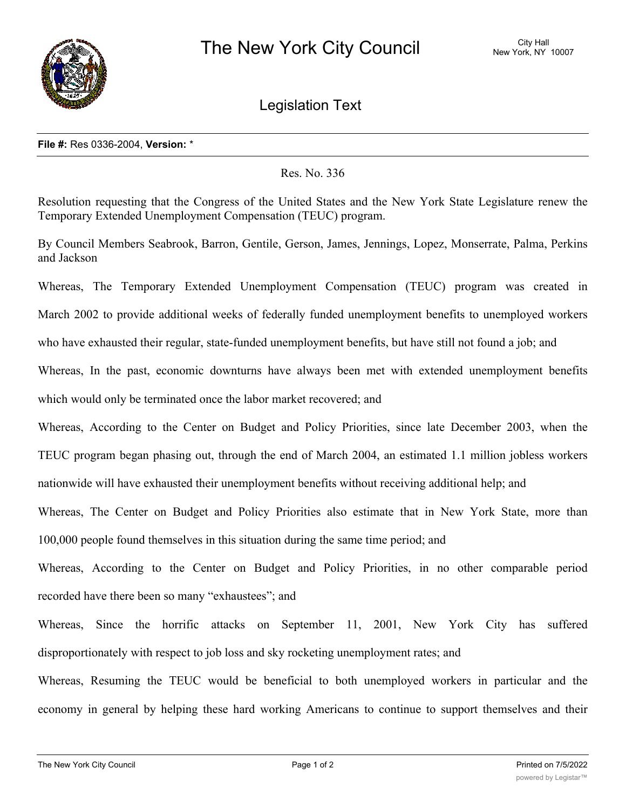

Legislation Text

## **File #:** Res 0336-2004, **Version:** \*

## Res. No. 336

Resolution requesting that the Congress of the United States and the New York State Legislature renew the Temporary Extended Unemployment Compensation (TEUC) program.

By Council Members Seabrook, Barron, Gentile, Gerson, James, Jennings, Lopez, Monserrate, Palma, Perkins and Jackson

Whereas, The Temporary Extended Unemployment Compensation (TEUC) program was created in March 2002 to provide additional weeks of federally funded unemployment benefits to unemployed workers who have exhausted their regular, state-funded unemployment benefits, but have still not found a job; and Whereas, In the past, economic downturns have always been met with extended unemployment benefits which would only be terminated once the labor market recovered; and

Whereas, According to the Center on Budget and Policy Priorities, since late December 2003, when the TEUC program began phasing out, through the end of March 2004, an estimated 1.1 million jobless workers nationwide will have exhausted their unemployment benefits without receiving additional help; and

Whereas, The Center on Budget and Policy Priorities also estimate that in New York State, more than 100,000 people found themselves in this situation during the same time period; and

Whereas, According to the Center on Budget and Policy Priorities, in no other comparable period recorded have there been so many "exhaustees"; and

Whereas, Since the horrific attacks on September 11, 2001, New York City has suffered disproportionately with respect to job loss and sky rocketing unemployment rates; and

Whereas, Resuming the TEUC would be beneficial to both unemployed workers in particular and the economy in general by helping these hard working Americans to continue to support themselves and their